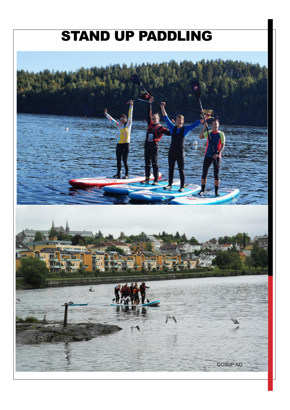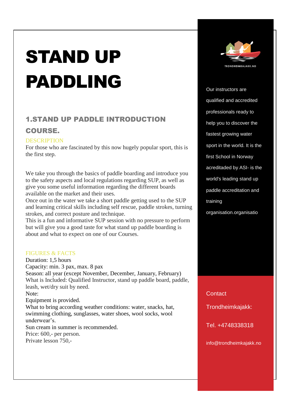# STAND UP PADDLING

# 1.STAND UP PADDLE INTRODUCTION

## COURSE.

## **DESCRIPTION**

For those who are fascinated by this now hugely popular sport, this is the first step.

We take you through the basics of paddle boarding and introduce you to the safety aspects and local regulations regarding SUP, as well as give you some useful information regarding the different boards available on the market and their uses.

Once out in the water we take a short paddle getting used to the SUP and learning critical skills including self rescue, paddle strokes, turning strokes, and correct posture and technique.

This is a fun and informative SUP session with no pressure to perform but will give you a good taste for what stand up paddle boarding is about and what to expect on one of our Courses.

## FIGURES & FACTS

Duration: 1,5 hours Capacity: min. 3 pax, max. 8 pax Season: all year (except November, December, January, February) What is Included: Qualified Instructor, stand up paddle board, paddle, leash, wet/dry suit by need. Note: Equipment is provided. What to bring according weather conditions: water, snacks, hat, swimming clothing, sunglasses, water shoes, wool socks, wool underwear's. Sun cream in summer is recommended. Price: 600,- per person. Private lesson 750,-



Our instructors are qualified and accredited professionals ready to help you to discover the fastest growing water sport in the world. It is the first School in Norway acreditaded by ASI- is the world's leading stand up paddle accreditation and training organisation.organisatio

**Contact** 

Trondheimkajakk:

Tel. +4748338318

info@trondheimkajakk.no